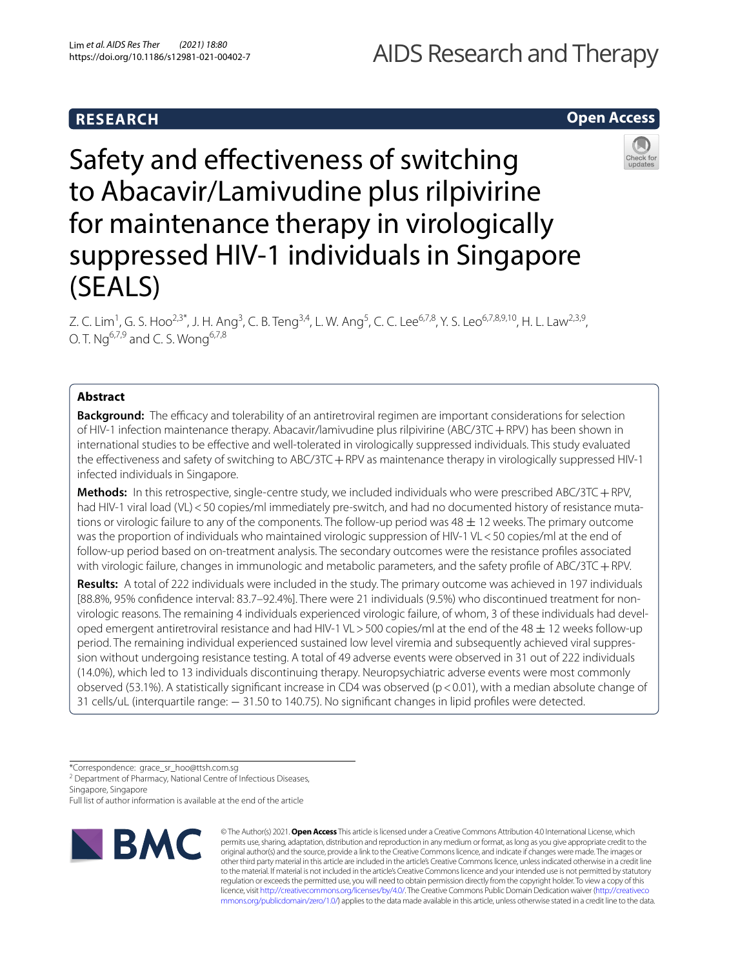# AIDS Research and Therapy

# **Open Access**



# Safety and efectiveness of switching to Abacavir/Lamivudine plus rilpivirine for maintenance therapy in virologically suppressed HIV-1 individuals in Singapore (SEALS)

Z. C. Lim<sup>1</sup>, G. S. Hoo<sup>2,3\*</sup>, J. H. Ang<sup>3</sup>, C. B. Teng<sup>3,4</sup>, L. W. Ang<sup>5</sup>, C. C. Lee<sup>6,7,8</sup>, Y. S. Leo<sup>6,7,8,9,10</sup>, H. L. Law<sup>2,3,9</sup>, O. T.  $Nq^{6,7,9}$  and C. S. Wong<sup>6,7,8</sup>

# **Abstract**

**Background:** The efficacy and tolerability of an antiretroviral regimen are important considerations for selection of HIV-1 infection maintenance therapy. Abacavir/lamivudine plus rilpivirine (ABC/3TC+RPV) has been shown in international studies to be efective and well-tolerated in virologically suppressed individuals. This study evaluated the efectiveness and safety of switching to ABC/3TC+RPV as maintenance therapy in virologically suppressed HIV-1 infected individuals in Singapore.

**Methods:** In this retrospective, single-centre study, we included individuals who were prescribed ABC/3TC+RPV, had HIV-1 viral load (VL) < 50 copies/ml immediately pre-switch, and had no documented history of resistance mutations or virologic failure to any of the components. The follow-up period was  $48 \pm 12$  weeks. The primary outcome was the proportion of individuals who maintained virologic suppression of HIV-1 VL<50 copies/ml at the end of follow-up period based on on-treatment analysis. The secondary outcomes were the resistance profles associated with virologic failure, changes in immunologic and metabolic parameters, and the safety profle of ABC/3TC+RPV.

**Results:** A total of 222 individuals were included in the study. The primary outcome was achieved in 197 individuals [88.8%, 95% confdence interval: 83.7–92.4%]. There were 21 individuals (9.5%) who discontinued treatment for nonvirologic reasons. The remaining 4 individuals experienced virologic failure, of whom, 3 of these individuals had developed emergent antiretroviral resistance and had HIV-1 VL > 500 copies/ml at the end of the 48  $\pm$  12 weeks follow-up period. The remaining individual experienced sustained low level viremia and subsequently achieved viral suppression without undergoing resistance testing. A total of 49 adverse events were observed in 31 out of 222 individuals (14.0%), which led to 13 individuals discontinuing therapy. Neuropsychiatric adverse events were most commonly observed (53.1%). A statistically signifcant increase in CD4 was observed (p<0.01), with a median absolute change of 31 cells/uL (interquartile range: − 31.50 to 140.75). No signifcant changes in lipid profles were detected.

\*Correspondence: grace\_sr\_hoo@ttsh.com.sg

<sup>2</sup> Department of Pharmacy, National Centre of Infectious Diseases, Singapore, Singapore

Full list of author information is available at the end of the article



© The Author(s) 2021. **Open Access** This article is licensed under a Creative Commons Attribution 4.0 International License, which permits use, sharing, adaptation, distribution and reproduction in any medium or format, as long as you give appropriate credit to the original author(s) and the source, provide a link to the Creative Commons licence, and indicate if changes were made. The images or other third party material in this article are included in the article's Creative Commons licence, unless indicated otherwise in a credit line to the material. If material is not included in the article's Creative Commons licence and your intended use is not permitted by statutory regulation or exceeds the permitted use, you will need to obtain permission directly from the copyright holder. To view a copy of this licence, visit [http://creativecommons.org/licenses/by/4.0/.](http://creativecommons.org/licenses/by/4.0/) The Creative Commons Public Domain Dedication waiver ([http://creativeco](http://creativecommons.org/publicdomain/zero/1.0/) [mmons.org/publicdomain/zero/1.0/](http://creativecommons.org/publicdomain/zero/1.0/)) applies to the data made available in this article, unless otherwise stated in a credit line to the data.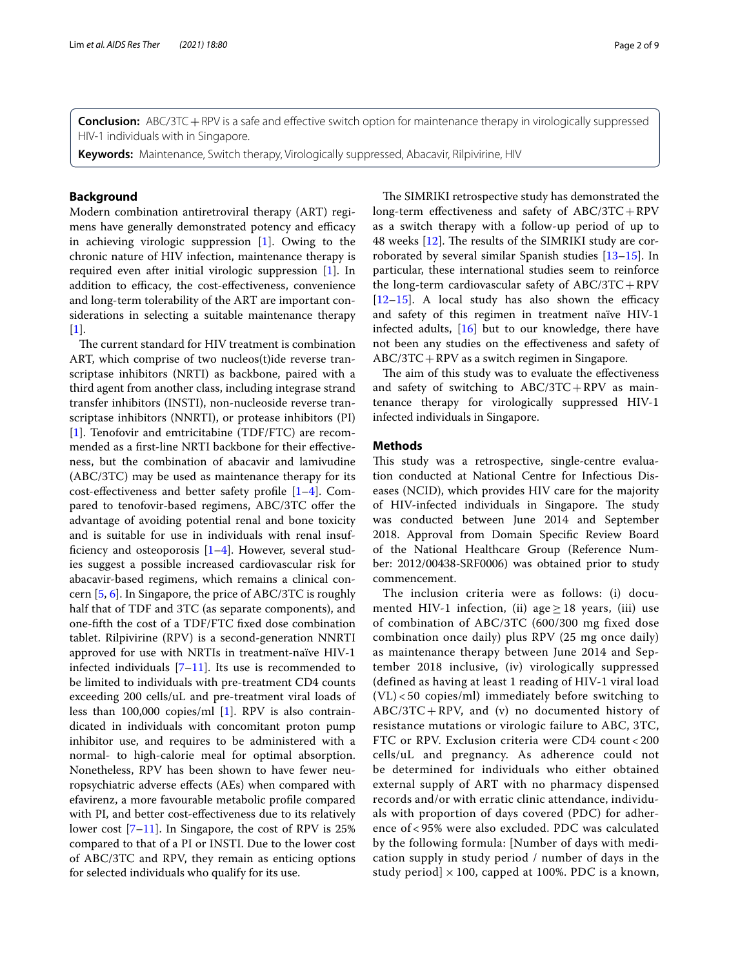**Conclusion:** ABC/3TC + RPV is a safe and effective switch option for maintenance therapy in virologically suppressed HIV-1 individuals with in Singapore.

**Keywords:** Maintenance, Switch therapy, Virologically suppressed, Abacavir, Rilpivirine, HIV

# **Background**

Modern combination antiretroviral therapy (ART) regimens have generally demonstrated potency and efficacy in achieving virologic suppression [\[1\]](#page-7-0). Owing to the chronic nature of HIV infection, maintenance therapy is required even after initial virologic suppression [\[1](#page-7-0)]. In addition to efficacy, the cost-effectiveness, convenience and long-term tolerability of the ART are important considerations in selecting a suitable maintenance therapy  $[1]$  $[1]$ .

The current standard for HIV treatment is combination ART, which comprise of two nucleos(t)ide reverse transcriptase inhibitors (NRTI) as backbone, paired with a third agent from another class, including integrase strand transfer inhibitors (INSTI), non-nucleoside reverse transcriptase inhibitors (NNRTI), or protease inhibitors (PI) [[1\]](#page-7-0). Tenofovir and emtricitabine (TDF/FTC) are recommended as a frst-line NRTI backbone for their efectiveness, but the combination of abacavir and lamivudine (ABC/3TC) may be used as maintenance therapy for its cost-efectiveness and better safety profle [[1](#page-7-0)[–4](#page-8-0)]. Compared to tenofovir-based regimens, ABC/3TC offer the advantage of avoiding potential renal and bone toxicity and is suitable for use in individuals with renal insufficiency and osteoporosis  $[1-4]$  $[1-4]$ . However, several studies suggest a possible increased cardiovascular risk for abacavir-based regimens, which remains a clinical concern [\[5](#page-8-1), [6\]](#page-8-2). In Singapore, the price of ABC/3TC is roughly half that of TDF and 3TC (as separate components), and one-ffth the cost of a TDF/FTC fxed dose combination tablet. Rilpivirine (RPV) is a second-generation NNRTI approved for use with NRTIs in treatment-naïve HIV-1 infected individuals  $[7-11]$  $[7-11]$ . Its use is recommended to be limited to individuals with pre-treatment CD4 counts exceeding 200 cells/uL and pre-treatment viral loads of less than 100,000 copies/ml [[1\]](#page-7-0). RPV is also contraindicated in individuals with concomitant proton pump inhibitor use, and requires to be administered with a normal- to high-calorie meal for optimal absorption. Nonetheless, RPV has been shown to have fewer neuropsychiatric adverse efects (AEs) when compared with efavirenz, a more favourable metabolic profle compared with PI, and better cost-efectiveness due to its relatively lower cost  $[7-11]$  $[7-11]$  $[7-11]$ . In Singapore, the cost of RPV is 25% compared to that of a PI or INSTI. Due to the lower cost of ABC/3TC and RPV, they remain as enticing options for selected individuals who qualify for its use.

The SIMRIKI retrospective study has demonstrated the long-term efectiveness and safety of ABC/3TC+RPV as a switch therapy with a follow-up period of up to 48 weeks  $[12]$  $[12]$ . The results of the SIMRIKI study are corroborated by several similar Spanish studies [\[13](#page-8-6)[–15\]](#page-8-7). In particular, these international studies seem to reinforce the long-term cardiovascular safety of ABC/3TC+RPV  $[12–15]$  $[12–15]$  $[12–15]$ . A local study has also shown the efficacy and safety of this regimen in treatment naïve HIV-1 infected adults,  $[16]$  $[16]$  but to our knowledge, there have not been any studies on the efectiveness and safety of ABC/3TC+RPV as a switch regimen in Singapore.

The aim of this study was to evaluate the effectiveness and safety of switching to  $ABC/3TC + RPV$  as maintenance therapy for virologically suppressed HIV-1 infected individuals in Singapore.

## **Methods**

This study was a retrospective, single-centre evaluation conducted at National Centre for Infectious Diseases (NCID), which provides HIV care for the majority of HIV-infected individuals in Singapore. The study was conducted between June 2014 and September 2018. Approval from Domain Specifc Review Board of the National Healthcare Group (Reference Number: 2012/00438-SRF0006) was obtained prior to study commencement.

The inclusion criteria were as follows: (i) documented HIV-1 infection, (ii) age  $\geq$  18 years, (iii) use of combination of ABC/3TC (600/300 mg fixed dose combination once daily) plus RPV (25 mg once daily) as maintenance therapy between June 2014 and September 2018 inclusive, (iv) virologically suppressed (defined as having at least 1 reading of HIV-1 viral load (VL) < 50 copies/ml) immediately before switching to  $ABC/3TC + RPV$ , and (v) no documented history of resistance mutations or virologic failure to ABC, 3TC, FTC or RPV. Exclusion criteria were CD4 count < 200 cells/uL and pregnancy. As adherence could not be determined for individuals who either obtained external supply of ART with no pharmacy dispensed records and/or with erratic clinic attendance, individuals with proportion of days covered (PDC) for adherence of < 95% were also excluded. PDC was calculated by the following formula: [Number of days with medication supply in study period / number of days in the study period]  $\times$  100, capped at 100%. PDC is a known,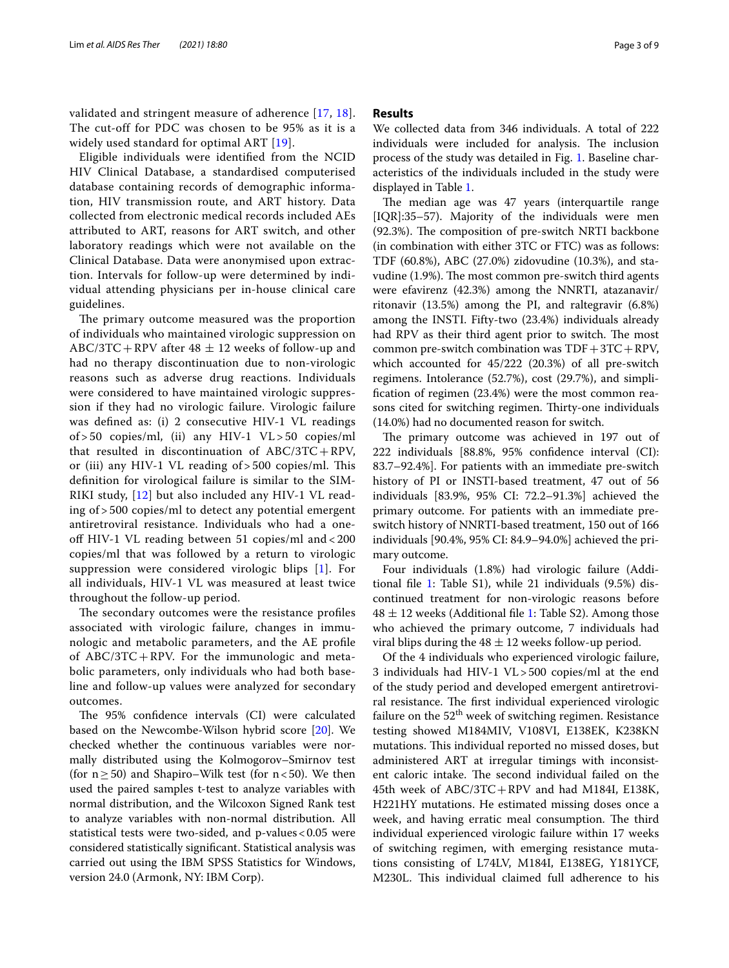validated and stringent measure of adherence [[17](#page-8-9), [18\]](#page-8-10). The cut-off for PDC was chosen to be 95% as it is a widely used standard for optimal ART [[19](#page-8-11)].

Eligible individuals were identifed from the NCID HIV Clinical Database, a standardised computerised database containing records of demographic information, HIV transmission route, and ART history. Data collected from electronic medical records included AEs attributed to ART, reasons for ART switch, and other laboratory readings which were not available on the Clinical Database. Data were anonymised upon extraction. Intervals for follow-up were determined by individual attending physicians per in-house clinical care guidelines.

The primary outcome measured was the proportion of individuals who maintained virologic suppression on ABC/3TC + RPV after  $48 \pm 12$  weeks of follow-up and had no therapy discontinuation due to non-virologic reasons such as adverse drug reactions. Individuals were considered to have maintained virologic suppression if they had no virologic failure. Virologic failure was defned as: (i) 2 consecutive HIV-1 VL readings of > 50 copies/ml, (ii) any HIV-1 VL > 50 copies/ml that resulted in discontinuation of ABC/3TC+RPV, or (iii) any HIV-1 VL reading  $of > 500$  copies/ml. This defnition for virological failure is similar to the SIM-RIKI study, [\[12](#page-8-5)] but also included any HIV-1 VL reading of > 500 copies/ml to detect any potential emergent antiretroviral resistance. Individuals who had a oneoff HIV-1 VL reading between 51 copies/ml and < 200 copies/ml that was followed by a return to virologic suppression were considered virologic blips [\[1](#page-7-0)]. For all individuals, HIV-1 VL was measured at least twice throughout the follow-up period.

The secondary outcomes were the resistance profiles associated with virologic failure, changes in immunologic and metabolic parameters, and the AE profle of ABC/3TC+RPV. For the immunologic and metabolic parameters, only individuals who had both baseline and follow-up values were analyzed for secondary outcomes.

The 95% confidence intervals (CI) were calculated based on the Newcombe-Wilson hybrid score [[20\]](#page-8-12). We checked whether the continuous variables were normally distributed using the Kolmogorov–Smirnov test (for  $n \ge 50$ ) and Shapiro–Wilk test (for  $n < 50$ ). We then used the paired samples t-test to analyze variables with normal distribution, and the Wilcoxon Signed Rank test to analyze variables with non-normal distribution. All statistical tests were two-sided, and p-values<0.05 were considered statistically signifcant. Statistical analysis was carried out using the IBM SPSS Statistics for Windows, version 24.0 (Armonk, NY: IBM Corp).

## **Results**

We collected data from 346 individuals. A total of 222 individuals were included for analysis. The inclusion process of the study was detailed in Fig. [1.](#page-3-0) Baseline characteristics of the individuals included in the study were displayed in Table [1](#page-4-0).

The median age was 47 years (interquartile range [IQR]:35–57). Majority of the individuals were men (92.3%). The composition of pre-switch NRTI backbone (in combination with either 3TC or FTC) was as follows: TDF (60.8%), ABC (27.0%) zidovudine (10.3%), and stavudine (1.9%). The most common pre-switch third agents were efavirenz (42.3%) among the NNRTI, atazanavir/ ritonavir (13.5%) among the PI, and raltegravir (6.8%) among the INSTI. Fifty-two (23.4%) individuals already had RPV as their third agent prior to switch. The most common pre-switch combination was  $TDF+3TC+RPV$ , which accounted for 45/222 (20.3%) of all pre-switch regimens. Intolerance (52.7%), cost (29.7%), and simplifcation of regimen (23.4%) were the most common reasons cited for switching regimen. Thirty-one individuals (14.0%) had no documented reason for switch.

The primary outcome was achieved in 197 out of 222 individuals [88.8%, 95% confdence interval (CI): 83.7–92.4%]. For patients with an immediate pre-switch history of PI or INSTI-based treatment, 47 out of 56 individuals [83.9%, 95% CI: 72.2–91.3%] achieved the primary outcome. For patients with an immediate preswitch history of NNRTI-based treatment, 150 out of 166 individuals [90.4%, 95% CI: 84.9–94.0%] achieved the primary outcome.

Four individuals (1.8%) had virologic failure (Additional fle [1:](#page-7-1) Table S1), while 21 individuals (9.5%) discontinued treatment for non-virologic reasons before  $48 \pm 12$  $48 \pm 12$  $48 \pm 12$  weeks (Additional file 1: Table S2). Among those who achieved the primary outcome, 7 individuals had viral blips during the  $48 \pm 12$  weeks follow-up period.

Of the 4 individuals who experienced virologic failure, 3 individuals had HIV-1 VL>500 copies/ml at the end of the study period and developed emergent antiretroviral resistance. The first individual experienced virologic failure on the  $52<sup>th</sup>$  week of switching regimen. Resistance testing showed M184MIV, V108VI, E138EK, K238KN mutations. This individual reported no missed doses, but administered ART at irregular timings with inconsistent caloric intake. The second individual failed on the 45th week of ABC/3TC+RPV and had M184I, E138K, H221HY mutations. He estimated missing doses once a week, and having erratic meal consumption. The third individual experienced virologic failure within 17 weeks of switching regimen, with emerging resistance mutations consisting of L74LV, M184I, E138EG, Y181YCF, M230L. This individual claimed full adherence to his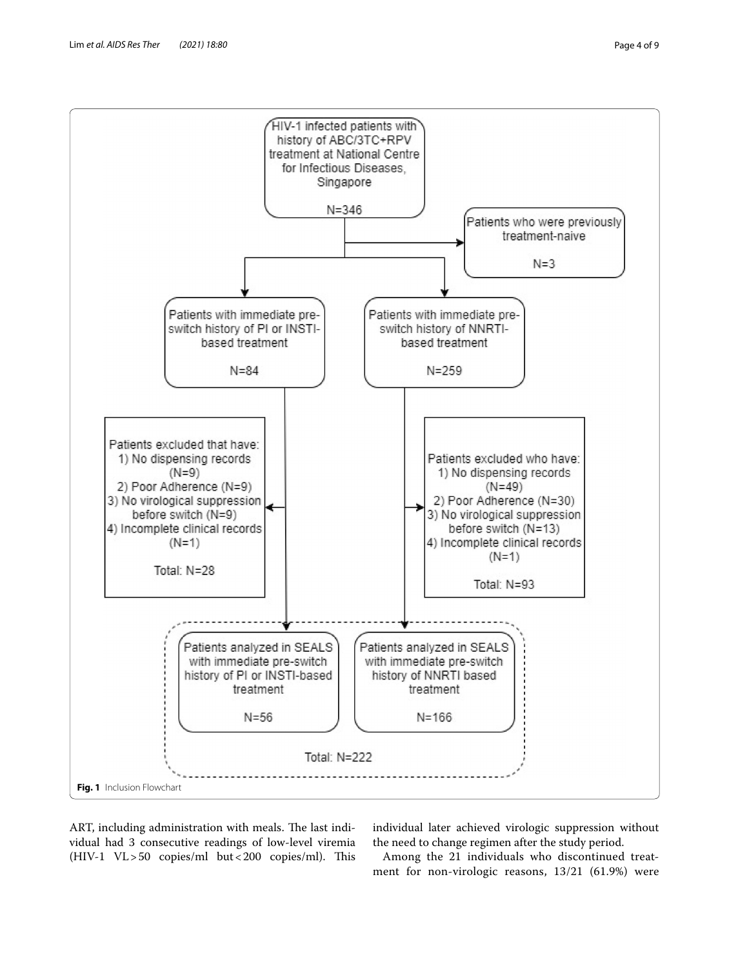

<span id="page-3-0"></span>ART, including administration with meals. The last individual had 3 consecutive readings of low-level viremia (HIV-1 VL>50 copies/ml but<200 copies/ml). This individual later achieved virologic suppression without the need to change regimen after the study period.

Among the 21 individuals who discontinued treatment for non-virologic reasons, 13/21 (61.9%) were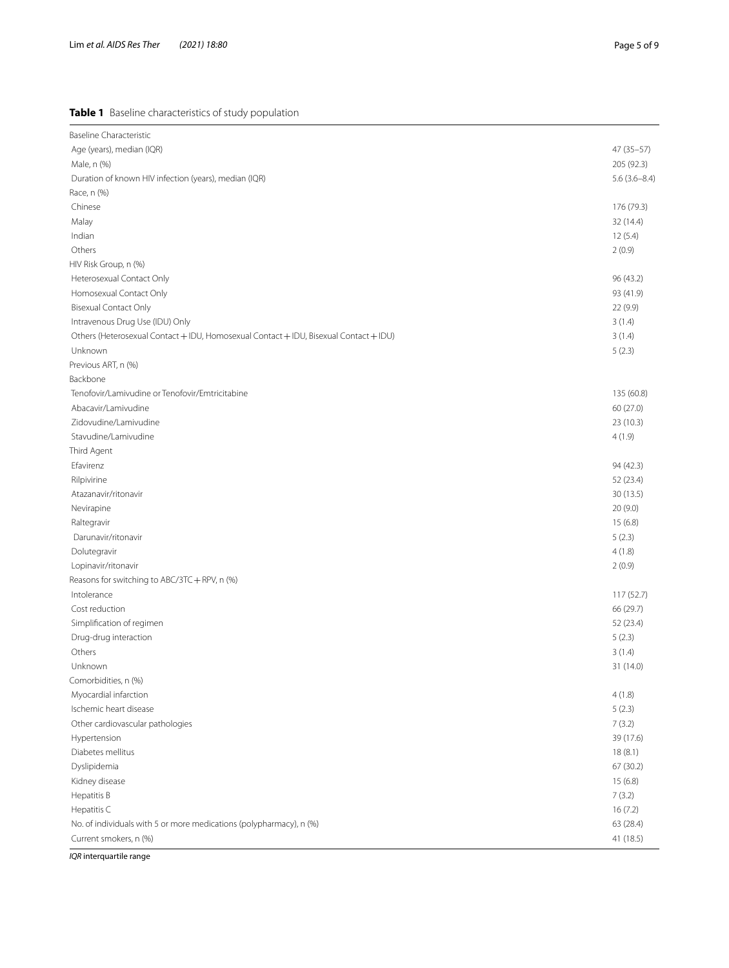# <span id="page-4-0"></span>**Table 1** Baseline characteristics of study population

| <b>Baseline Characteristic</b>                                                        |                  |
|---------------------------------------------------------------------------------------|------------------|
| Age (years), median (IQR)                                                             | 47 (35-57)       |
| Male, n (%)                                                                           | 205 (92.3)       |
| Duration of known HIV infection (years), median (IQR)                                 | $5.6(3.6 - 8.4)$ |
| Race, n (%)                                                                           |                  |
| Chinese                                                                               | 176 (79.3)       |
| Malay                                                                                 | 32 (14.4)        |
| Indian                                                                                | 12(5.4)          |
| Others                                                                                | 2(0.9)           |
| HIV Risk Group, n (%)                                                                 |                  |
| Heterosexual Contact Only                                                             | 96 (43.2)        |
| Homosexual Contact Only                                                               | 93 (41.9)        |
| <b>Bisexual Contact Only</b>                                                          | 22 (9.9)         |
| Intravenous Drug Use (IDU) Only                                                       | 3(1.4)           |
| Others (Heterosexual Contact + IDU, Homosexual Contact + IDU, Bisexual Contact + IDU) | 3(1.4)           |
| Unknown                                                                               | 5(2.3)           |
| Previous ART, n (%)                                                                   |                  |
| Backbone                                                                              |                  |
| Tenofovir/Lamivudine or Tenofovir/Emtricitabine                                       | 135 (60.8)       |
| Abacavir/Lamivudine                                                                   | 60 (27.0)        |
| Zidovudine/Lamivudine                                                                 | 23 (10.3)        |
| Stavudine/Lamivudine                                                                  | 4(1.9)           |
| Third Agent                                                                           |                  |
| Efavirenz                                                                             | 94 (42.3)        |
| Rilpivirine                                                                           | 52 (23.4)        |
| Atazanavir/ritonavir                                                                  | 30 (13.5)        |
| Nevirapine                                                                            | 20 (9.0)         |
| Raltegravir                                                                           | 15(6.8)          |
| Darunavir/ritonavir                                                                   | 5(2.3)           |
| Dolutegravir                                                                          | 4(1.8)           |
| Lopinavir/ritonavir                                                                   | 2(0.9)           |
| Reasons for switching to ABC/3TC + RPV, n (%)                                         |                  |
| Intolerance                                                                           | 117 (52.7)       |
| Cost reduction                                                                        | 66 (29.7)        |
| Simplification of regimen                                                             | 52 (23.4)        |
| Drug-drug interaction                                                                 | 5(2.3)           |
| Others                                                                                | 3(1.4)           |
| Unknown                                                                               | 31 (14.0)        |
| Comorbidities, n (%)                                                                  |                  |
| Myocardial infarction                                                                 | 4(1.8)           |
| Ischemic heart disease                                                                | 5(2.3)           |
| Other cardiovascular pathologies                                                      | 7(3.2)           |
| Hypertension                                                                          | 39 (17.6)        |
| Diabetes mellitus                                                                     | 18(8.1)          |
| Dyslipidemia                                                                          | 67 (30.2)        |
| Kidney disease                                                                        | 15(6.8)          |
| Hepatitis B                                                                           | 7(3.2)           |
| Hepatitis C                                                                           | 16(7.2)          |
| No. of individuals with 5 or more medications (polypharmacy), n (%)                   | 63 (28.4)        |
| Current smokers, n (%)                                                                | 41 (18.5)        |

*IQR* interquartile range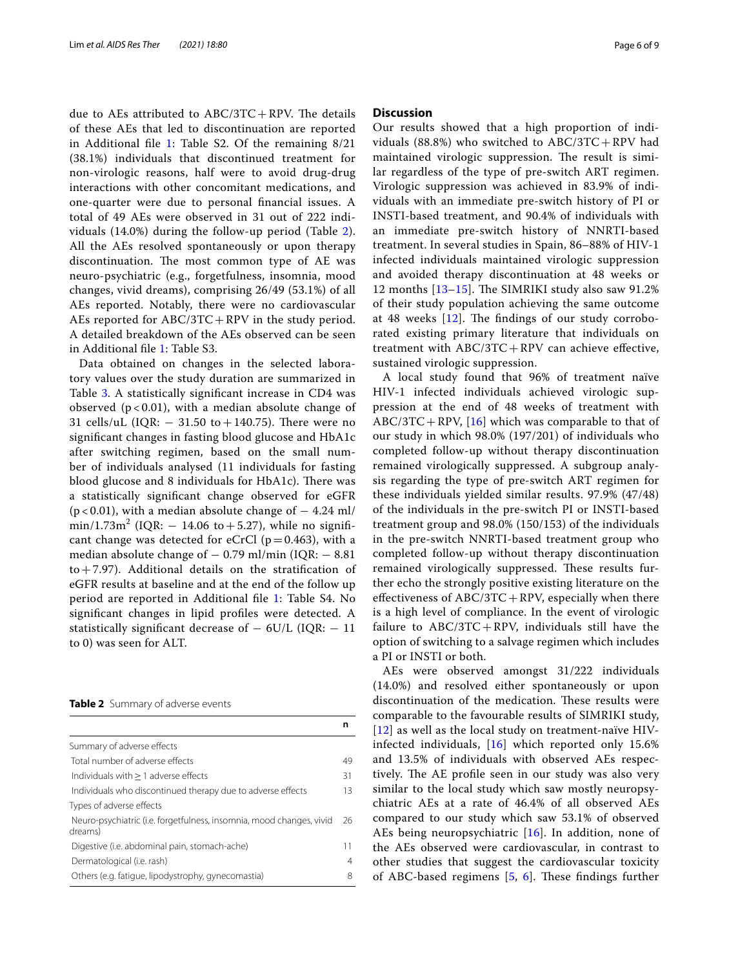due to AEs attributed to  $ABC/3TC + RPV$ . The details of these AEs that led to discontinuation are reported in Additional file [1:](#page-7-1) Table S2. Of the remaining 8/21 (38.1%) individuals that discontinued treatment for non-virologic reasons, half were to avoid drug-drug interactions with other concomitant medications, and one-quarter were due to personal fnancial issues. A total of 49 AEs were observed in 31 out of 222 individuals (14.0%) during the follow-up period (Table [2\)](#page-5-0). All the AEs resolved spontaneously or upon therapy discontinuation. The most common type of AE was neuro-psychiatric (e.g., forgetfulness, insomnia, mood changes, vivid dreams), comprising 26/49 (53.1%) of all AEs reported. Notably, there were no cardiovascular AEs reported for ABC/3TC + RPV in the study period. A detailed breakdown of the AEs observed can be seen in Additional fle [1](#page-7-1): Table S3.

Data obtained on changes in the selected laboratory values over the study duration are summarized in Table [3](#page-6-0). A statistically signifcant increase in CD4 was observed ( $p < 0.01$ ), with a median absolute change of 31 cells/uL (IQR:  $-$  31.50 to  $+$  140.75). There were no signifcant changes in fasting blood glucose and HbA1c after switching regimen, based on the small number of individuals analysed (11 individuals for fasting blood glucose and 8 individuals for HbA1c). There was a statistically signifcant change observed for eGFR  $(p < 0.01)$ , with a median absolute change of  $-4.24$  ml/  $\min/1.73 \text{m}^2$  (IQR:  $-$  14.06 to  $+$  5.27), while no significant change was detected for eCrCl ( $p=0.463$ ), with a median absolute change of  $-0.79$  ml/min (IQR:  $-8.81$ )  $to +7.97$ ). Additional details on the stratification of eGFR results at baseline and at the end of the follow up period are reported in Additional fle [1](#page-7-1): Table S4. No signifcant changes in lipid profles were detected. A statistically significant decrease of  $-$  6U/L (IQR:  $-$  11 to 0) was seen for ALT.

<span id="page-5-0"></span>**Table 2** Summary of adverse events

|                                                                                 | n  |
|---------------------------------------------------------------------------------|----|
| Summary of adverse effects                                                      |    |
| Total number of adverse effects                                                 | 49 |
| Individuals with $> 1$ adverse effects                                          | 31 |
| Individuals who discontinued therapy due to adverse effects                     | 13 |
| Types of adverse effects                                                        |    |
| Neuro-psychiatric (i.e. forgetfulness, insomnia, mood changes, vivid<br>dreams) | 26 |
| Digestive (i.e. abdominal pain, stomach-ache)                                   | 11 |
| Dermatological (i.e. rash)                                                      | 4  |
| Others (e.g. fatigue, lipodystrophy, gynecomastia)                              | 8  |

## **Discussion**

Our results showed that a high proportion of individuals (88.8%) who switched to  $ABC/3TC + RPV$  had maintained virologic suppression. The result is similar regardless of the type of pre-switch ART regimen. Virologic suppression was achieved in 83.9% of individuals with an immediate pre-switch history of PI or INSTI-based treatment, and 90.4% of individuals with an immediate pre-switch history of NNRTI-based treatment. In several studies in Spain, 86–88% of HIV-1 infected individuals maintained virologic suppression and avoided therapy discontinuation at 48 weeks or 12 months  $[13-15]$  $[13-15]$  $[13-15]$ . The SIMRIKI study also saw 91.2% of their study population achieving the same outcome at 48 weeks  $[12]$ . The findings of our study corroborated existing primary literature that individuals on treatment with  $ABC/3TC + RPV$  can achieve effective, sustained virologic suppression.

A local study found that 96% of treatment naïve HIV-1 infected individuals achieved virologic suppression at the end of 48 weeks of treatment with  $ABC/3TC + RPV$ , [\[16](#page-8-8)] which was comparable to that of our study in which 98.0% (197/201) of individuals who completed follow-up without therapy discontinuation remained virologically suppressed. A subgroup analysis regarding the type of pre-switch ART regimen for these individuals yielded similar results. 97.9% (47/48) of the individuals in the pre-switch PI or INSTI-based treatment group and 98.0% (150/153) of the individuals in the pre-switch NNRTI-based treatment group who completed follow-up without therapy discontinuation remained virologically suppressed. These results further echo the strongly positive existing literature on the effectiveness of  $ABC/3TC + RPV$ , especially when there is a high level of compliance. In the event of virologic failure to  $ABC/3TC + RPV$ , individuals still have the option of switching to a salvage regimen which includes a PI or INSTI or both.

AEs were observed amongst 31/222 individuals (14.0%) and resolved either spontaneously or upon discontinuation of the medication. These results were comparable to the favourable results of SIMRIKI study, [[12](#page-8-5)] as well as the local study on treatment-naïve HIVinfected individuals, [[16](#page-8-8)] which reported only 15.6% and 13.5% of individuals with observed AEs respectively. The AE profile seen in our study was also very similar to the local study which saw mostly neuropsychiatric AEs at a rate of 46.4% of all observed AEs compared to our study which saw 53.1% of observed AEs being neuropsychiatric [[16](#page-8-8)]. In addition, none of the AEs observed were cardiovascular, in contrast to other studies that suggest the cardiovascular toxicity of ABC-based regimens  $[5, 6]$  $[5, 6]$  $[5, 6]$  $[5, 6]$  $[5, 6]$ . These findings further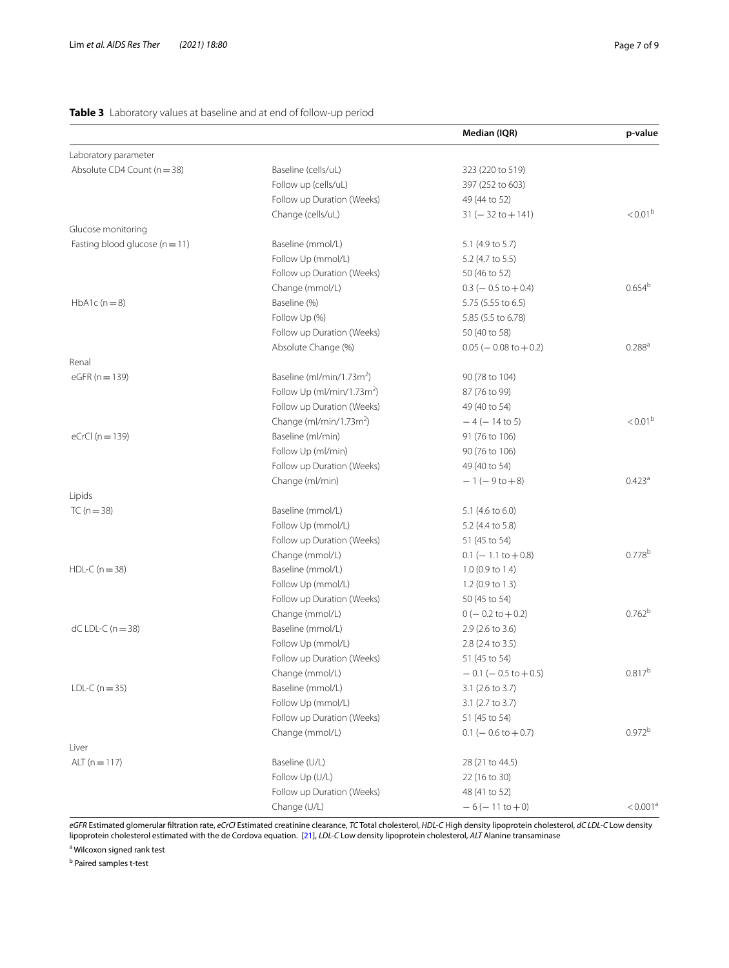# <span id="page-6-0"></span>**Table 3** Laboratory values at baseline and at end of follow-up period

|                                    |                                        | Median (IQR)                    | p-value              |
|------------------------------------|----------------------------------------|---------------------------------|----------------------|
| Laboratory parameter               |                                        |                                 |                      |
| Absolute CD4 Count (n = 38)        | Baseline (cells/uL)                    | 323 (220 to 519)                |                      |
|                                    | Follow up (cells/uL)                   | 397 (252 to 603)                |                      |
|                                    | Follow up Duration (Weeks)             | 49 (44 to 52)                   |                      |
|                                    | Change (cells/uL)                      | $31 (- 32 \text{ to } + 141)$   | $< 0.01^b$           |
| Glucose monitoring                 |                                        |                                 |                      |
| Fasting blood glucose ( $n = 11$ ) | Baseline (mmol/L)                      | 5.1 (4.9 to 5.7)                |                      |
|                                    | Follow Up (mmol/L)                     | 5.2 (4.7 to 5.5)                |                      |
|                                    | Follow up Duration (Weeks)             | 50 (46 to 52)                   |                      |
|                                    | Change (mmol/L)                        | $0.3 (-0.5 \text{ to } +0.4)$   | 0.654 <sup>b</sup>   |
| $HbA1c(n=8)$                       | Baseline (%)                           | 5.75 (5.55 to 6.5)              |                      |
|                                    | Follow Up (%)                          | 5.85 (5.5 to 6.78)              |                      |
|                                    | Follow up Duration (Weeks)             | 50 (40 to 58)                   |                      |
|                                    | Absolute Change (%)                    | $0.05 (-0.08 \text{ to } +0.2)$ | $0.288^{a}$          |
| Renal                              |                                        |                                 |                      |
| $eGFR (n = 139)$                   | Baseline (ml/min/1.73m <sup>2</sup> )  | 90 (78 to 104)                  |                      |
|                                    | Follow Up (ml/min/1.73m <sup>2</sup> ) | 87 (76 to 99)                   |                      |
|                                    | Follow up Duration (Weeks)             | 49 (40 to 54)                   |                      |
|                                    | Change (ml/min/1.73m <sup>2</sup> )    | $-4$ ( $-14$ to 5)              | $< 0.01^{\rm b}$     |
| eCrCl $(n=139)$                    | Baseline (ml/min)                      | 91 (76 to 106)                  |                      |
|                                    | Follow Up (ml/min)                     | 90 (76 to 106)                  |                      |
|                                    | Follow up Duration (Weeks)             | 49 (40 to 54)                   |                      |
|                                    | Change (ml/min)                        | $-1(-9$ to $+8)$                | 0.423 <sup>a</sup>   |
| Lipids                             |                                        |                                 |                      |
| TC ( $n = 38$ )                    | Baseline (mmol/L)                      | 5.1 (4.6 to 6.0)                |                      |
|                                    | Follow Up (mmol/L)                     | 5.2 (4.4 to 5.8)                |                      |
|                                    | Follow up Duration (Weeks)             | 51 (45 to 54)                   |                      |
|                                    | Change (mmol/L)                        | $0.1$ (-1.1 to +0.8)            | 0.778 <sup>b</sup>   |
| $HDL-C (n = 38)$                   | Baseline (mmol/L)                      | 1.0 (0.9 to 1.4)                |                      |
|                                    | Follow Up (mmol/L)                     | 1.2 (0.9 to 1.3)                |                      |
|                                    | Follow up Duration (Weeks)             | 50 (45 to 54)                   |                      |
|                                    | Change (mmol/L)                        | $0 (- 0.2 \text{ to } +0.2)$    | 0.762 <sup>b</sup>   |
| $dC$ LDL-C ( $n = 38$ )            | Baseline (mmol/L)                      | 2.9 (2.6 to 3.6)                |                      |
|                                    | Follow Up (mmol/L)                     | 2.8 (2.4 to 3.5)                |                      |
|                                    | Follow up Duration (Weeks)             | 51 (45 to 54)                   |                      |
|                                    | Change (mmol/L)                        | $-0.1$ ( $-0.5$ to $+0.5$ )     | $0.817^{b}$          |
| LDL-C $(n = 35)$                   | Baseline (mmol/L)                      | 3.1 (2.6 to 3.7)                |                      |
|                                    | Follow Up (mmol/L)                     | 3.1 (2.7 to 3.7)                |                      |
|                                    | Follow up Duration (Weeks)             | 51 (45 to 54)                   |                      |
|                                    | Change (mmol/L)                        | $0.1$ (- 0.6 to + 0.7)          | $0.972^{b}$          |
| Liver                              |                                        |                                 |                      |
| ALT $(n = 117)$                    | Baseline (U/L)                         | 28 (21 to 44.5)                 |                      |
|                                    | Follow Up (U/L)                        | 22 (16 to 30)                   |                      |
|                                    | Follow up Duration (Weeks)             | 48 (41 to 52)                   |                      |
|                                    | Change (U/L)                           | $-6(-11 \text{ to } +0)$        | < 0.001 <sup>a</sup> |
|                                    |                                        |                                 |                      |

*eGFR* Estimated glomerular fltration rate, *eCrCl* Estimated creatinine clearance, *TC* Total cholesterol, *HDL-C* High density lipoprotein cholesterol, *dC LDL-C* Low density lipoprotein cholesterol estimated with the de Cordova equation. [\[21\]](#page-8-13), *LDL-C* Low density lipoprotein cholesterol, *ALT* Alanine transaminase

<sup>a</sup> Wilcoxon signed rank test

<sup>b</sup> Paired samples t-test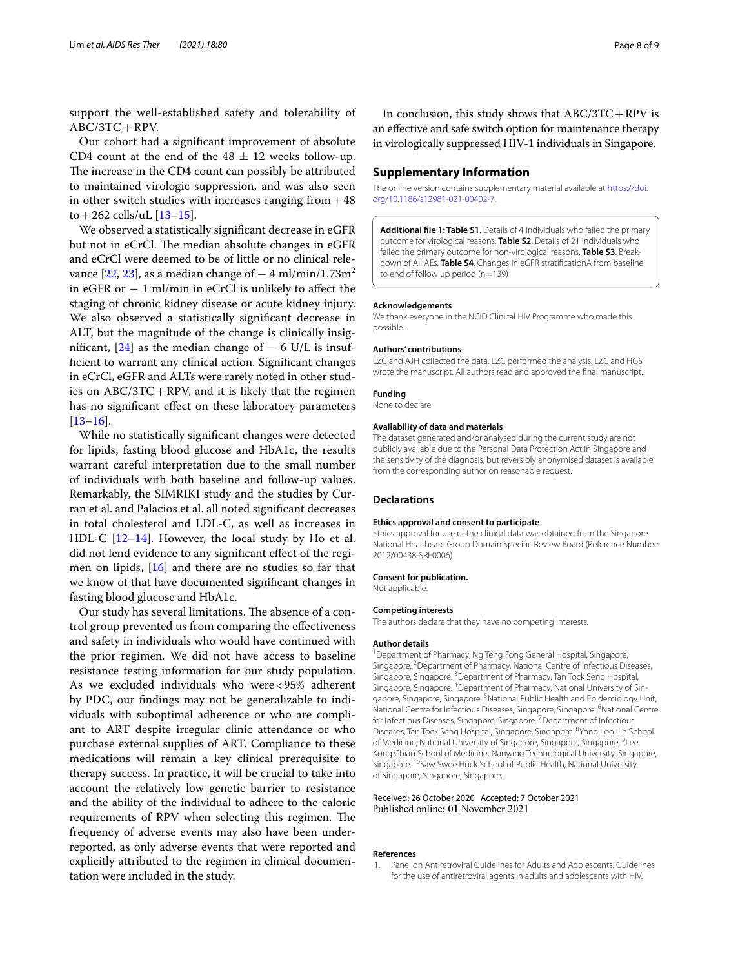support the well-established safety and tolerability of ABC/3TC+RPV.

Our cohort had a signifcant improvement of absolute CD4 count at the end of the  $48 \pm 12$  weeks follow-up. The increase in the CD4 count can possibly be attributed to maintained virologic suppression, and was also seen in other switch studies with increases ranging from  $+48$ to + 262 cells/uL  $[13-15]$  $[13-15]$  $[13-15]$ .

We observed a statistically signifcant decrease in eGFR but not in eCrCl. The median absolute changes in eGFR and eCrCl were deemed to be of little or no clinical rele-vance [[22,](#page-8-14) [23\]](#page-8-15), as a median change of  $-4$  ml/min/1.73m<sup>2</sup> in eGFR or  $-1$  ml/min in eCrCl is unlikely to affect the staging of chronic kidney disease or acute kidney injury. We also observed a statistically signifcant decrease in ALT, but the magnitude of the change is clinically insig-nificant, [[24](#page-8-16)] as the median change of  $-$  6 U/L is insuffcient to warrant any clinical action. Signifcant changes in eCrCl, eGFR and ALTs were rarely noted in other studies on  $ABC/3TC + RPV$ , and it is likely that the regimen has no signifcant efect on these laboratory parameters [[13–](#page-8-6)[16](#page-8-8)].

While no statistically signifcant changes were detected for lipids, fasting blood glucose and HbA1c, the results warrant careful interpretation due to the small number of individuals with both baseline and follow-up values. Remarkably, the SIMRIKI study and the studies by Curran et al. and Palacios et al. all noted signifcant decreases in total cholesterol and LDL-C, as well as increases in HDL-C  $[12-14]$  $[12-14]$  $[12-14]$ . However, the local study by Ho et al. did not lend evidence to any signifcant efect of the regimen on lipids, [\[16\]](#page-8-8) and there are no studies so far that we know of that have documented signifcant changes in fasting blood glucose and HbA1c.

Our study has several limitations. The absence of a control group prevented us from comparing the efectiveness and safety in individuals who would have continued with the prior regimen. We did not have access to baseline resistance testing information for our study population. As we excluded individuals who were<95% adherent by PDC, our fndings may not be generalizable to individuals with suboptimal adherence or who are compliant to ART despite irregular clinic attendance or who purchase external supplies of ART. Compliance to these medications will remain a key clinical prerequisite to therapy success. In practice, it will be crucial to take into account the relatively low genetic barrier to resistance and the ability of the individual to adhere to the caloric requirements of RPV when selecting this regimen. The frequency of adverse events may also have been underreported, as only adverse events that were reported and explicitly attributed to the regimen in clinical documentation were included in the study.

In conclusion, this study shows that  $ABC/3TC + RPV$  is an efective and safe switch option for maintenance therapy in virologically suppressed HIV-1 individuals in Singapore.

### **Supplementary Information**

The online version contains supplementary material available at [https://doi.](https://doi.org/10.1186/s12981-021-00402-7) [org/10.1186/s12981-021-00402-7](https://doi.org/10.1186/s12981-021-00402-7).

<span id="page-7-1"></span>**Additional fle 1: Table S1**. Details of 4 individuals who failed the primary outcome for virological reasons. **Table S2**. Details of 21 individuals who failed the primary outcome for non-virological reasons. **Table S3**. Breakdown of All AEs. **Table S4**. Changes in eGFR stratifcationA from baseline to end of follow up period (n=139)

#### **Acknowledgements**

We thank everyone in the NCID Clinical HIV Programme who made this possible.

#### **Authors' contributions**

LZC and AJH collected the data. LZC performed the analysis. LZC and HGS wrote the manuscript. All authors read and approved the fnal manuscript.

#### **Funding**

None to declare.

#### **Availability of data and materials**

The dataset generated and/or analysed during the current study are not publicly available due to the Personal Data Protection Act in Singapore and the sensitivity of the diagnosis, but reversibly anonymised dataset is available from the corresponding author on reasonable request.

### **Declarations**

#### **Ethics approval and consent to participate**

Ethics approval for use of the clinical data was obtained from the Singapore National Healthcare Group Domain Specifc Review Board (Reference Number: 2012/00438-SRF0006).

#### **Consent for publication.**

Not applicable.

#### **Competing interests**

The authors declare that they have no competing interests.

#### **Author details**

<sup>1</sup> Department of Pharmacy, Ng Teng Fong General Hospital, Singapore, Singapore. <sup>2</sup> Department of Pharmacy, National Centre of Infectious Diseases, Singapore, Singapore. <sup>3</sup> Department of Pharmacy, Tan Tock Seng Hospital, Singapore, Singapore. <sup>4</sup>Department of Pharmacy, National University of Singapore, Singapore, Singapore. <sup>5</sup>National Public Health and Epidemiology Unit, National Centre for Infectious Diseases, Singapore, Singapore. <sup>6</sup>National Centre for Infectious Diseases, Singapore, Singapore.<sup>7</sup> Department of Infectious Diseases, Tan Tock Seng Hospital, Singapore, Singapore. <sup>8</sup> Yong Loo Lin School of Medicine, National University of Singapore, Singapore, Singapore. <sup>9</sup>Lee Kong Chian School of Medicine, Nanyang Technological University, Singapore, Singapore. <sup>10</sup>Saw Swee Hock School of Public Health, National University of Singapore, Singapore, Singapore.

#### Received: 26 October 2020 Accepted: 7 October 2021 Published online: 01 November 2021

#### **References**

<span id="page-7-0"></span>1. Panel on Antiretroviral Guidelines for Adults and Adolescents. Guidelines for the use of antiretroviral agents in adults and adolescents with HIV.